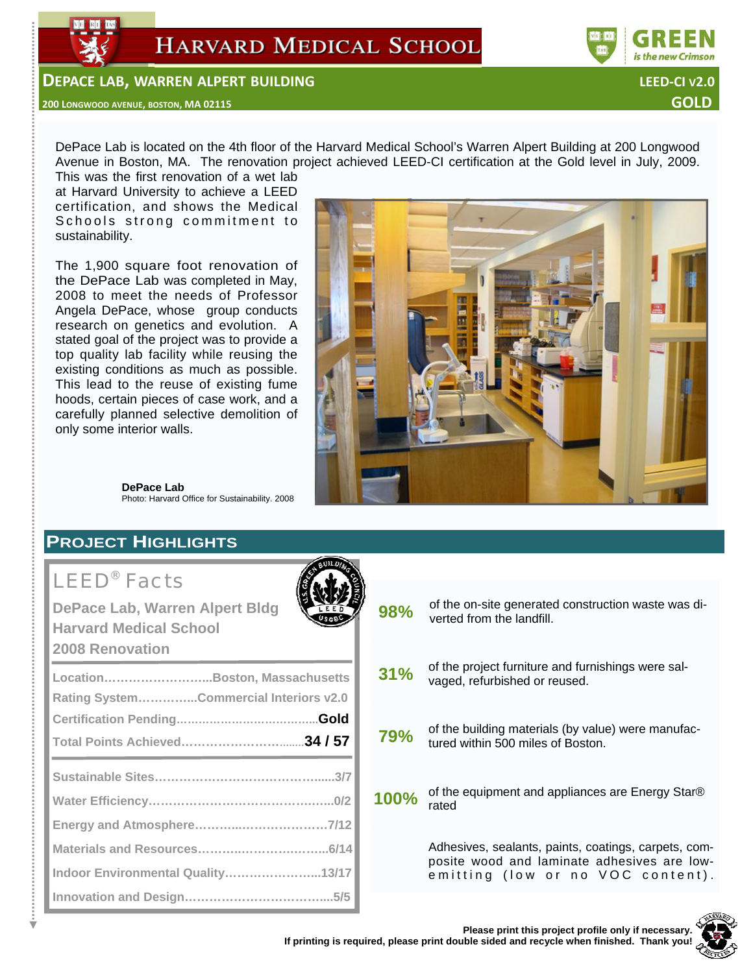



#### **DEPACE LAB, WARREN ALPERT BUILDING LEED‐CI V2.0**

#### **<sup>200</sup> LONGWOOD AVENUE, BOSTON, MA <sup>02115</sup> GOLD**

DePace Lab is located on the 4th floor of the Harvard Medical School's Warren Alpert Building at 200 Longwood Avenue in Boston, MA. The renovation project achieved LEED-CI certification at the Gold level in July, 2009.

This was the first renovation of a wet lab at Harvard University to achieve a LEED certification, and shows the Medical Schools strong commitment to sustainability.

The 1,900 square foot renovation of the DePace Lab was completed in May, 2008 to meet the needs of Professor Angela DePace, whose group conducts research on genetics and evolution. A stated goal of the project was to provide a top quality lab facility while reusing the existing conditions as much as possible. This lead to the reuse of existing fume hoods, certain pieces of case work, and a carefully planned selective demolition of only some interior walls.



**DePace Lab**  Photo: Harvard Office for Sustainability. 2008

### **PROJECT HIGHLIGHTS**

# LEED® Facts

| <b>DePace Lab, Warren Alpert Bldg</b><br><b>Harvard Medical School</b><br><b>2008 Renovation</b> |
|--------------------------------------------------------------------------------------------------|
| LocationBoston, Massachusetts                                                                    |
| Rating SystemCommercial Interiors v2.0                                                           |
|                                                                                                  |
|                                                                                                  |
|                                                                                                  |
|                                                                                                  |
|                                                                                                  |
|                                                                                                  |
|                                                                                                  |
| Indoor Environmental Quality13/17                                                                |
|                                                                                                  |



**98%** of the on-site generated construction waste was diverted from the landfill.

- **31%** of the project furniture and furnishings were salvaged, refurbished or reused.
- **79%** of the building materials (by value) were manufactured within 500 miles of Boston.
- **100%** of the equipment and appliances are Energy Star® rated

Adhesives, sealants, paints, coatings, carpets, composite wood and laminate adhesives are lowemitting (low or no VOC content).

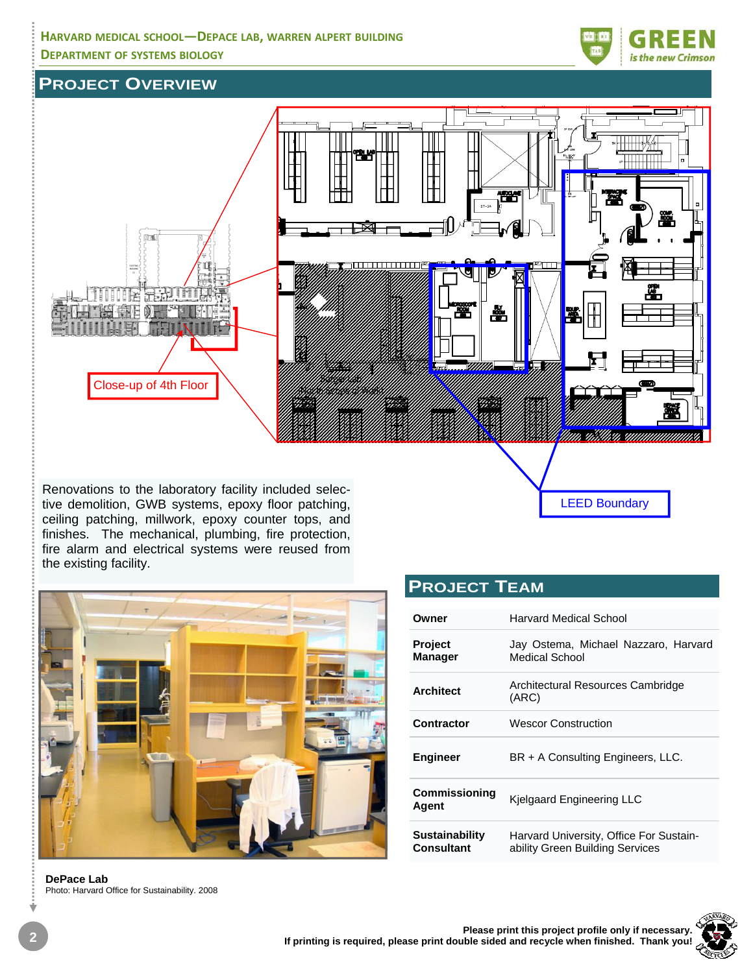#### **HARVARD MEDICAL SCHOOL—DEPACE LAB, WARREN ALPERT BUILDING DEPARTMENT OF SYSTEMS BIOLOGY**



### **PROJECT OVERVIEW**



Renovations to the laboratory facility included selective demolition, GWB systems, epoxy floor patching, ceiling patching, millwork, epoxy counter tops, and finishes. The mechanical, plumbing, fire protection, fire alarm and electrical systems were reused from the existing facility.



**DePace Lab**  Photo: Harvard Office for Sustainability. 2008

| <b>PROJECT TEAM</b> |  |
|---------------------|--|
|                     |  |

| Owner                               | Harvard Medical School                                                     |  |  |  |
|-------------------------------------|----------------------------------------------------------------------------|--|--|--|
| <b>Project</b><br><b>Manager</b>    | Jay Ostema, Michael Nazzaro, Harvard<br>Medical School                     |  |  |  |
| <b>Architect</b>                    | Architectural Resources Cambridge<br>(ARC)                                 |  |  |  |
| Contractor                          | <b>Wescor Construction</b>                                                 |  |  |  |
| <b>Engineer</b>                     | BR + A Consulting Engineers, LLC.                                          |  |  |  |
| <b>Commissioning</b><br>Agent       | Kjelgaard Engineering LLC                                                  |  |  |  |
| <b>Sustainability</b><br>Consultant | Harvard University, Office For Sustain-<br>ability Green Building Services |  |  |  |

LEED Boundary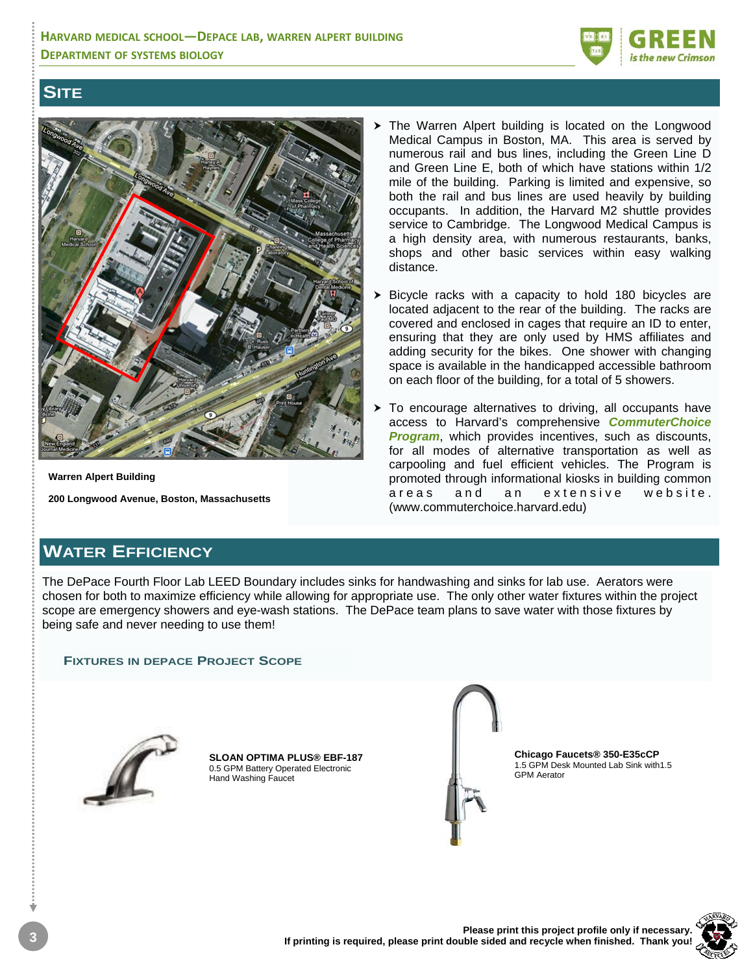

### **SITE**



**Warren Alpert Building** 

**200 Longwood Avenue, Boston, Massachusetts**

- $\triangleright$  The Warren Alpert building is located on the Longwood Medical Campus in Boston, MA. This area is served by numerous rail and bus lines, including the Green Line D and Green Line E, both of which have stations within 1/2 mile of the building. Parking is limited and expensive, so both the rail and bus lines are used heavily by building occupants. In addition, the Harvard M2 shuttle provides service to Cambridge. The Longwood Medical Campus is a high density area, with numerous restaurants, banks, shops and other basic services within easy walking distance.
- Bicycle racks with a capacity to hold 180 bicycles are located adjacent to the rear of the building. The racks are covered and enclosed in cages that require an ID to enter, ensuring that they are only used by HMS affiliates and adding security for the bikes. One shower with changing space is available in the handicapped accessible bathroom on each floor of the building, for a total of 5 showers.
- $\triangleright$  To encourage alternatives to driving, all occupants have access to Harvard's comprehensive *CommuterChoice Program*, which provides incentives, such as discounts, for all modes of alternative transportation as well as carpooling and fuel efficient vehicles. The Program is promoted through informational kiosks in building common areas and an extensive website. (www.commuterchoice.harvard.edu)

## **WATER EFFICIENCY**

The DePace Fourth Floor Lab LEED Boundary includes sinks for handwashing and sinks for lab use. Aerators were chosen for both to maximize efficiency while allowing for appropriate use. The only other water fixtures within the project scope are emergency showers and eye-wash stations. The DePace team plans to save water with those fixtures by being safe and never needing to use them!

#### **FIXTURES IN DEPACE PROJECT SCOPE**



**SLOAN OPTIMA PLUS® EBF-187**  0.5 GPM Battery Operated Electronic Hand Washing Faucet



**Chicago Faucets® 350-E35cCP**  1.5 GPM Desk Mounted Lab Sink with1.5 GPM Aerator

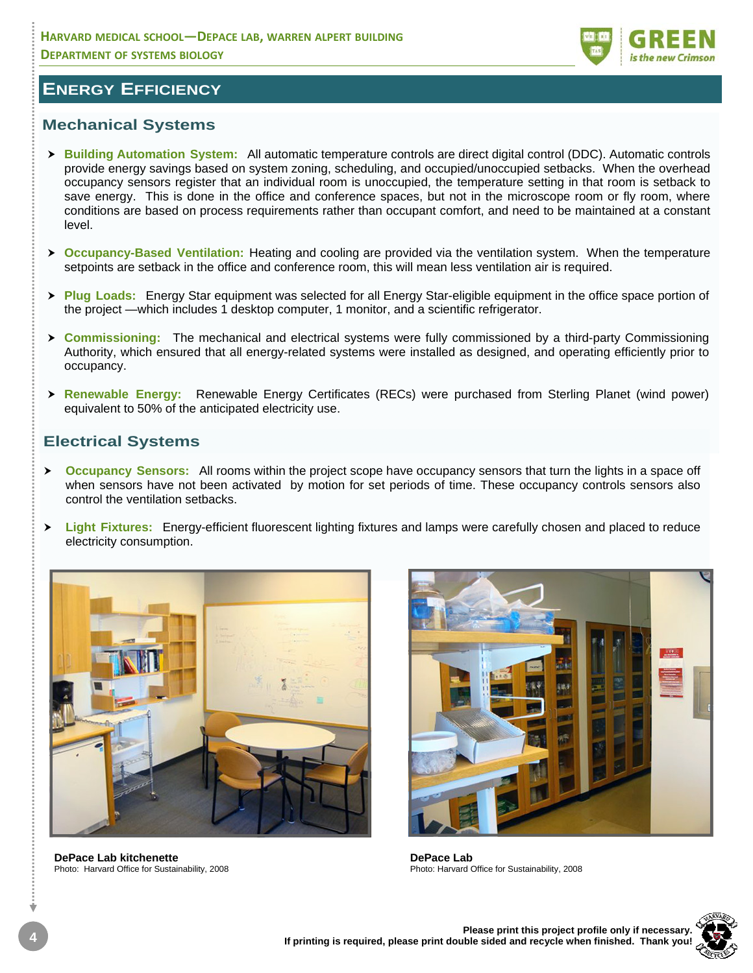

### **ENERGY EFFICIENCY**

### **Mechanical Systems**

- **▶ Building Automation System:** All automatic temperature controls are direct digital control (DDC). Automatic controls provide energy savings based on system zoning, scheduling, and occupied/unoccupied setbacks. When the overhead occupancy sensors register that an individual room is unoccupied, the temperature setting in that room is setback to save energy. This is done in the office and conference spaces, but not in the microscope room or fly room, where conditions are based on process requirements rather than occupant comfort, and need to be maintained at a constant level.
- **Occupancy-Based Ventilation:** Heating and cooling are provided via the ventilation system. When the temperature setpoints are setback in the office and conference room, this will mean less ventilation air is required.
- **▶ Plug Loads:** Energy Star equipment was selected for all Energy Star-eligible equipment in the office space portion of the project —which includes 1 desktop computer, 1 monitor, and a scientific refrigerator.
- > **Commissioning:** The mechanical and electrical systems were fully commissioned by a third-party Commissioning Authority, which ensured that all energy-related systems were installed as designed, and operating efficiently prior to occupancy.
- **h Renewable Energy:** Renewable Energy Certificates (RECs) were purchased from Sterling Planet (wind power) equivalent to 50% of the anticipated electricity use.

#### **Electrical Systems**

- **Example X Occupancy Sensors:** All rooms within the project scope have occupancy sensors that turn the lights in a space off when sensors have not been activated by motion for set periods of time. These occupancy controls sensors also control the ventilation setbacks.
- **▶ Light Fixtures:** Energy-efficient fluorescent lighting fixtures and lamps were carefully chosen and placed to reduce electricity consumption.



**DePace Lab kitchenette**  Photo: Harvard Office for Sustainability, 2008



**DePace Lab**  Photo: Harvard Office for Sustainability, 2008

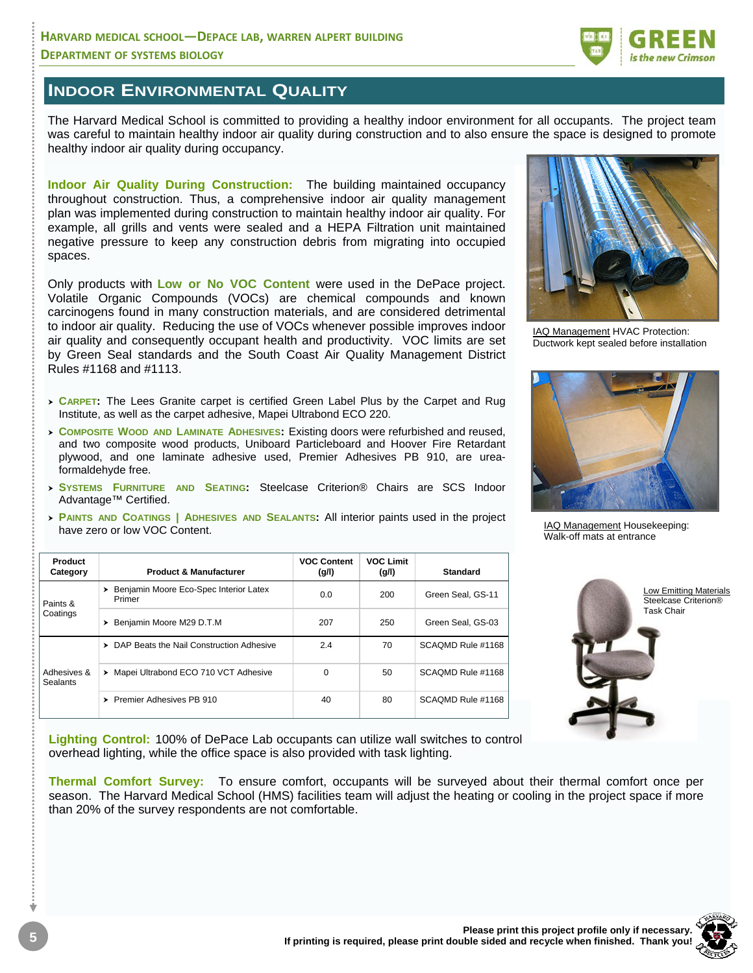

### **INDOOR ENVIRONMENTAL QUALITY**

The Harvard Medical School is committed to providing a healthy indoor environment for all occupants. The project team was careful to maintain healthy indoor air quality during construction and to also ensure the space is designed to promote healthy indoor air quality during occupancy.

**Indoor Air Quality During Construction:** The building maintained occupancy throughout construction. Thus, a comprehensive indoor air quality management plan was implemented during construction to maintain healthy indoor air quality. For example, all grills and vents were sealed and a HEPA Filtration unit maintained negative pressure to keep any construction debris from migrating into occupied spaces.

Only products with **Low or No VOC Content** were used in the DePace project. Volatile Organic Compounds (VOCs) are chemical compounds and known carcinogens found in many construction materials, and are considered detrimental to indoor air quality. Reducing the use of VOCs whenever possible improves indoor air quality and consequently occupant health and productivity. VOC limits are set by Green Seal standards and the South Coast Air Quality Management District Rules #1168 and #1113.

- <sup>h</sup>**CARPET:** The Lees Granite carpet is certified Green Label Plus by the Carpet and Rug Institute, as well as the carpet adhesive, Mapei Ultrabond ECO 220.
- **COMPOSITE WOOD AND LAMINATE ADHESIVES: Existing doors were refurbished and reused,** and two composite wood products, Uniboard Particleboard and Hoover Fire Retardant plywood, and one laminate adhesive used, Premier Adhesives PB 910, are ureaformaldehyde free.
- <sup>h</sup>**SYSTEMS FURNITURE AND SEATING:** Steelcase Criterion® Chairs are SCS Indoor Advantage™ Certified.
- **PAINTS AND COATINGS | ADHESIVES AND SEALANTS: All interior paints used in the project** have zero or low VOC Content.

| Product<br>Category     | <b>Product &amp; Manufacturer</b>                     | <b>VOC Content</b><br>(g/l) | <b>VOC Limit</b><br>(g/l) | <b>Standard</b>   |
|-------------------------|-------------------------------------------------------|-----------------------------|---------------------------|-------------------|
| Paints &<br>Coatings    | Benjamin Moore Eco-Spec Interior Latex<br>➤<br>Primer | 0.0                         | 200                       | Green Seal, GS-11 |
|                         | Benjamin Moore M29 D.T.M                              | 207                         | 250                       | Green Seal, GS-03 |
| Adhesives &<br>Sealants | > DAP Beats the Nail Construction Adhesive            | 2.4                         | 70                        | SCAOMD Rule #1168 |
|                         | Mapei Ultrabond ECO 710 VCT Adhesive<br>▸             | $\Omega$                    | 50                        | SCAOMD Rule #1168 |
|                         | Premier Adhesives PB 910                              | 40                          | 80                        | SCAOMD Rule #1168 |

**Lighting Control:** 100% of DePace Lab occupants can utilize wall switches to control overhead lighting, while the office space is also provided with task lighting.

**Thermal Comfort Survey:** To ensure comfort, occupants will be surveyed about their thermal comfort once per season. The Harvard Medical School (HMS) facilities team will adjust the heating or cooling in the project space if more than 20% of the survey respondents are not comfortable.



IAQ Management HVAC Protection: Ductwork kept sealed before installation



IAQ Management Housekeeping: Walk-off mats at entrance



Low Emitting Materials Steelcase Criterion® Task Chair